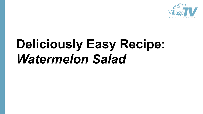

# **Deliciously Easy Recipe:**  *Watermelon Salad*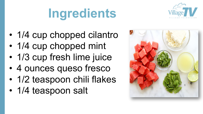# **Ingredients**



- 1/4 cup chopped cilantro
- 1/4 cup chopped mint
- 1/3 cup fresh lime juice
- 4 ounces queso fresco
- 1/2 teaspoon chili flakes
- 1/4 teaspoon salt

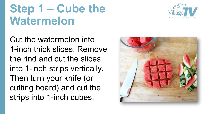#### **Step 1 – Cube the Watermelon**



Cut the watermelon into 1-inch thick slices. Remove the rind and cut the slices into 1-inch strips vertically. Then turn your knife (or cutting board) and cut the strips into 1-inch cubes.

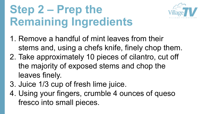### **Step 2 – Prep the Remaining Ingredients**



- 1. Remove a handful of mint leaves from their stems and, using a chefs knife, finely chop them.
- 2. Take approximately 10 pieces of cilantro, cut off the majority of exposed stems and chop the leaves finely.
- 3. Juice 1/3 cup of fresh lime juice.
- 4. Using your fingers, crumble 4 ounces of queso fresco into small pieces.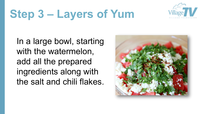## **Step 3 – Layers of Yum**



In a large bowl, starting with the watermelon, add all the prepared ingredients along with the salt and chili flakes.

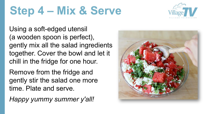## **Step 4 – Mix & Serve**



Using a soft-edged utensil (a wooden spoon is perfect), gently mix all the salad ingredients together. Cover the bowl and let it chill in the fridge for one hour.

Remove from the fridge and gently stir the salad one more time. Plate and serve.

*Happy yummy summer y'all!*